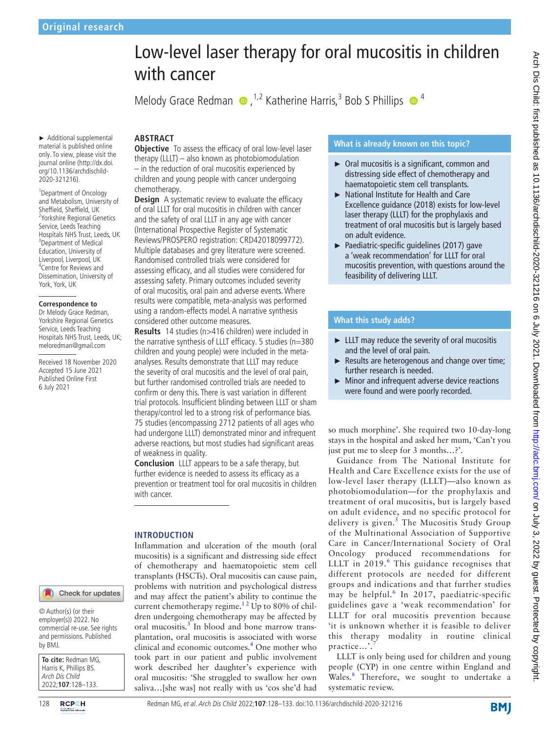# with cancer Melody Grace Redman  $\bullet$ , <sup>1,2</sup> Katherine Harris,<sup>3</sup> Bob S Phillips  $\bullet$ <sup>4</sup> ► Additional supplemental **ABSTRACT**

material is published online only. To view, please visit the journal online ([http://dx.doi.](http://dx.doi.org/10.1136/archdischild-2020-321216) [org/10.1136/archdischild-](http://dx.doi.org/10.1136/archdischild-2020-321216)[2020-321216\)](http://dx.doi.org/10.1136/archdischild-2020-321216).

1 Department of Oncology and Metabolism, University of Sheffield, Sheffield, UK 2 Yorkshire Regional Genetics Service, Leeds Teaching Hospitals NHS Trust, Leeds, UK 3 Department of Medical Education, University of Liverpool, Liverpool, UK 4 Centre for Reviews and Dissemination, University of York, York, UK

### **Correspondence to**

Dr Melody Grace Redman, Yorkshire Regional Genetics Service, Leeds Teaching Hospitals NHS Trust, Leeds, UK; meloredman@gmail.com

Received 18 November 2020 Accepted 15 June 2021 Published Online First 6 July 2021

#### Check for updates

© Author(s) (or their employer(s)) 2022. No commercial re-use. See rights and permissions. Published by BMJ.

| To cite: Redman MG,    |
|------------------------|
| Harris K, Phillips BS. |
| Arch Dis Child         |
| 2022;107:128-133.      |

# **Objective** To assess the efficacy of oral low-level laser therapy (LLLT) – also known as photobiomodulation – in the reduction of oral mucositis experienced by children and young people with cancer undergoing chemotherapy.

**Design** A systematic review to evaluate the efficacy of oral LLLT for oral mucositis in children with cancer and the safety of oral LLLT in any age with cancer (International Prospective Register of Systematic Reviews/PROSPERO registration: CRD42018099772). Multiple databases and grey literature were screened. Randomised controlled trials were considered for assessing efficacy, and all studies were considered for assessing safety. Primary outcomes included severity of oral mucositis, oral pain and adverse events. Where results were compatible, meta-analysis was performed using a random-effects model. A narrative synthesis considered other outcome measures.

**Results** 14 studies (n>416 children) were included in the narrative synthesis of LLLT efficacy. 5 studies (n=380 children and young people) were included in the metaanalyses. Results demonstrate that LLLT may reduce the severity of oral mucositis and the level of oral pain, but further randomised controlled trials are needed to confirm or deny this. There is vast variation in different trial protocols. Insufficient blinding between LLLT or sham therapy/control led to a strong risk of performance bias. 75 studies (encompassing 2712 patients of all ages who had undergone LLLT) demonstrated minor and infrequent adverse reactions, but most studies had significant areas of weakness in quality.

**Conclusion** LLLT appears to be a safe therapy, but further evidence is needed to assess its efficacy as a prevention or treatment tool for oral mucositis in children with cancer.

# **INTRODUCTION**

Inflammation and ulceration of the mouth (oral mucositis) is a significant and distressing side effect of chemotherapy and haematopoietic stem cell transplants (HSCTs). Oral mucositis can cause pain, problems with nutrition and psychological distress and may affect the patient's ability to continue the current chemotherapy regime.<sup>12</sup> Up to 80% of children undergoing chemotherapy may be affected by oral mucositis.<sup>[3](#page-5-1)</sup> In blood and bone marrow transplantation, oral mucositis is associated with worse clinical and economic outcomes.<sup>[4](#page-5-2)</sup> One mother who took part in our patient and public involvement work described her daughter's experience with oral mucositis: 'She struggled to swallow her own saliva…[she was] not really with us 'cos she'd had

## **What is already known on this topic?**

Low-level laser therapy for oral mucositis in children

- ► Oral mucositis is a significant, common and distressing side effect of chemotherapy and haematopoietic stem cell transplants.
- ► National Institute for Health and Care Excellence guidance (2018) exists for low-level laser therapy (LLLT) for the prophylaxis and treatment of oral mucositis but is largely based on adult evidence.
- ► Paediatric-specific guidelines (2017) gave a 'weak recommendation' for LLLT for oral mucositis prevention, with questions around the feasibility of delivering LLLT.

# **What this study adds?**

- ► LLLT may reduce the severity of oral mucositis and the level of oral pain.
- ► Results are heterogenous and change over time; further research is needed.
- ► Minor and infrequent adverse device reactions were found and were poorly recorded.

so much morphine'. She required two 10-day-long stays in the hospital and asked her mum, 'Can't you just put me to sleep for 3 months…?'.

Guidance from The National Institute for Health and Care Excellence exists for the use of low-level laser therapy (LLLT)—also known as photobiomodulation—for the prophylaxis and treatment of oral mucositis, but is largely based on adult evidence, and no specific protocol for delivery is given.<sup>[5](#page-5-3)</sup> The Mucositis Study Group of the Multinational Association of Supportive Care in Cancer/International Society of Oral Oncology produced recommendations for LLLT in  $2019$ .<sup>[6](#page-5-4)</sup> This guidance recognises that different protocols are needed for different groups and indications and that further studies may be helpful.<sup>[6](#page-5-4)</sup> In 2017, paediatric-specific guidelines gave a 'weak recommendation' for LLLT for oral mucositis prevention because 'it is unknown whether it is feasible to deliver this therapy modality in routine clinical practice...'.

LLLT is only being used for children and young people (CYP) in one centre within England and Wales.<sup>[8](#page-5-6)</sup> Therefore, we sought to undertake a systematic review.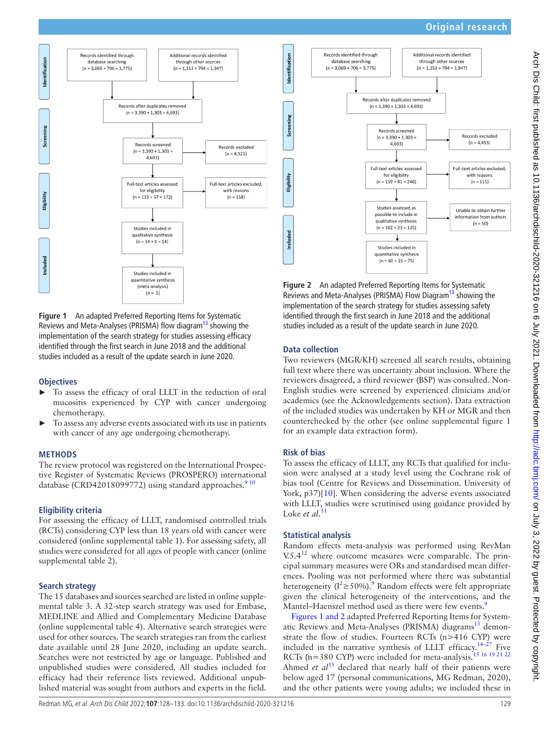# **Original research**



<span id="page-1-0"></span>**Figure 1** An adapted Preferred Reporting Items for Systematic Reviews and Meta-Analyses (PRISMA) flow diagram<sup>[13](#page-5-11)</sup> showing the implementation of the search strategy for studies assessing efficacy identified through the first search in June 2018 and the additional studies included as a result of the update search in June 2020.

### **Objectives**

- ► To assess the efficacy of oral LLLT in the reduction of oral mucositis experienced by CYP with cancer undergoing chemotherapy.
- To assess any adverse events associated with its use in patients with cancer of any age undergoing chemotherapy.

### **METHODS**

The review protocol was registered on the International Prospective Register of Systematic Reviews (PROSPERO) international database (CRD42018099772) using standard approaches.<sup>910</sup>

# **Eligibility criteria**

For assessing the efficacy of LLLT, randomised controlled trials (RCTs) considering CYP less than 18 years old with cancer were considered ([online supplemental table 1\)](https://dx.doi.org/10.1136/archdischild-2020-321216). For assessing safety, all studies were considered for all ages of people with cancer [\(online](https://dx.doi.org/10.1136/archdischild-2020-321216)  [supplemental table 2\)](https://dx.doi.org/10.1136/archdischild-2020-321216).

# **Search strategy**

The 15 databases and sources searched are listed in [online supple](https://dx.doi.org/10.1136/archdischild-2020-321216)[mental table 3.](https://dx.doi.org/10.1136/archdischild-2020-321216) A 32-step search strategy was used for Embase, MEDLINE and Allied and Complementary Medicine Database ([online supplemental table 4\)](https://dx.doi.org/10.1136/archdischild-2020-321216). Alternative search strategies were used for other sources. The search strategies ran from the earliest date available until 28 June 2020, including an update search. Searches were not restricted by age or language. Published and unpublished studies were considered. All studies included for efficacy had their reference lists reviewed. Additional unpublished material was sought from authors and experts in the field.



**Figure 2** An adapted Preferred Reporting Items for Systematic Reviews and Meta-Analyses (PRISMA) Flow Diagram<sup>13</sup> showing the implementation of the search strategy for studies assessing safety identified through the first search in June 2018 and the additional studies included as a result of the update search in June 2020.

# **Data collection**

Two reviewers (MGR/KH) screened all search results, obtaining full text where there was uncertainty about inclusion. Where the reviewers disagreed, a third reviewer (BSP) was consulted. Non-English studies were screened by experienced clinicians and/or academics (see the Acknowledgements section). Data extraction of the included studies was undertaken by KH or MGR and then counterchecked by the other (see [online supplemental figure 1](https://dx.doi.org/10.1136/archdischild-2020-321216) for an example data extraction form).

# **Risk of bias**

To assess the efficacy of LLLT, any RCTs that qualified for inclusion were analysed at a study level using the Cochrane risk of bias tool (Centre for Reviews and Dissemination. University of York, p37)[[10\]](#page-5-8). When considering the adverse events associated with LLLT, studies were scrutinised using guidance provided by Loke *et al*.<sup>[11](#page-5-9)</sup>

# **Statistical analysis**

Random effects meta-analysis was performed using RevMan  $V.5.4<sup>12</sup>$  where outcome measures were comparable. The principal summary measures were ORs and standardised mean differences. Pooling was not performed where there was substantial heterogeneity ( $I^2 \ge 50\%$ ).<sup>[9](#page-5-7)</sup> Random effects were felt appropriate given the clinical heterogeneity of the interventions, and the Mantel–Haenszel method used as there were few events.<sup>[9](#page-5-7)</sup>

Figures [1 and 2](#page-1-0) adapted Preferred Reporting Items for System-atic Reviews and Meta-Analyses (PRISMA) diagrams<sup>[13](#page-5-11)</sup> demonstrate the flow of studies. Fourteen RCTs (n>416 CYP) were included in the narrative synthesis of LLLT efficacy.<sup>[14–27](#page-5-12)</sup> Five RCTs (n=380 CYP) were included for meta-analysis.<sup>15 16 19 21 22</sup> Ahmed *et al*<sup>[15](#page-5-13)</sup> declared that nearly half of their patients were below aged 17 (personal communications, MG Redman, 2020), and the other patients were young adults; we included these in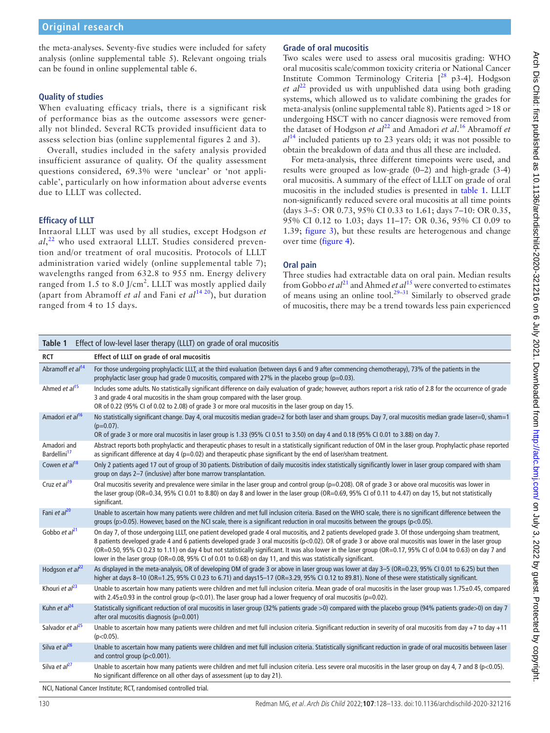the meta-analyses. Seventy-five studies were included for safety analysis [\(online supplemental table 5](https://dx.doi.org/10.1136/archdischild-2020-321216)). Relevant ongoing trials can be found in [online supplemental table 6](https://dx.doi.org/10.1136/archdischild-2020-321216).

# **Quality of studies**

When evaluating efficacy trials, there is a significant risk of performance bias as the outcome assessors were generally not blinded. Several RCTs provided insufficient data to assess selection bias ([online supplemental figures 2 and 3](https://dx.doi.org/10.1136/archdischild-2020-321216)).

Overall, studies included in the safety analysis provided insufficient assurance of quality. Of the quality assessment questions considered, 69.3% were 'unclear' or 'not applicable', particularly on how information about adverse events due to LLLT was collected.

# **Efficacy of LLLT**

Intraoral LLLT was used by all studies, except Hodgson *et al*, [22](#page-5-14) who used extraoral LLLT. Studies considered prevention and/or treatment of oral mucositis. Protocols of LLLT administration varied widely ([online supplemental table 7](https://dx.doi.org/10.1136/archdischild-2020-321216)); wavelengths ranged from 632.8 to 955 nm. Energy delivery ranged from 1.5 to 8.0 J/cm<sup>2</sup>. LLLT was mostly applied daily (apart from Abramoff *et al* and Fani e*t al*[14 20](#page-5-12)), but duration ranged from 4 to 15 days.

# **Grade of oral mucositis**

Two scales were used to assess oral mucositis grading: WHO oral mucositis scale/common toxicity criteria or National Cancer Institute Common Terminology Criteria [<sup>28</sup> p3-4]. Hodgson et al<sup>[22](#page-5-14)</sup> provided us with unpublished data using both grading systems, which allowed us to validate combining the grades for meta-analysis ([online supplemental table 8](https://dx.doi.org/10.1136/archdischild-2020-321216)). Patients aged >18 or undergoing HSCT with no cancer diagnosis were removed from the dataset of Hodgson *et al*<sup>22</sup> and Amadori *et al*.<sup>[16](#page-5-16)</sup> Abramoff *et al*[14](#page-5-12) included patients up to 23 years old; it was not possible to obtain the breakdown of data and thus all these are included.

For meta-analysis, three different timepoints were used, and results were grouped as low-grade (0–2) and high-grade (3-4) oral mucositis. A summary of the effect of LLLT on grade of oral mucositis in the included studies is presented in [table](#page-2-0) 1. LLLT non-significantly reduced severe oral mucositis at all time points (days 3–5: OR 0.73, 95% CI 0.33 to 1.61; days 7–10: OR 0.35, 95% CI 0.12 to 1.03; days 11–17: OR 0.36, 95% CI 0.09 to 1.39; [figure](#page-3-0) 3), but these results are heterogenous and change over time ([figure](#page-3-1) 4).

# **Oral pain**

Three studies had extractable data on oral pain. Median results from Gobbo *et al*<sup>21</sup> and Ahmed *et al*<sup>15</sup> were converted to estimates of means using an online tool.<sup>29-31</sup> Similarly to observed grade of mucositis, there may be a trend towards less pain experienced

<span id="page-2-0"></span>

| Effect of low-level laser therapy (LLLT) on grade of oral mucositis<br>Table 1 |                                                                                                                                                                                                                                                                                                                                                                                                                                                                                                                                                                                                         |
|--------------------------------------------------------------------------------|---------------------------------------------------------------------------------------------------------------------------------------------------------------------------------------------------------------------------------------------------------------------------------------------------------------------------------------------------------------------------------------------------------------------------------------------------------------------------------------------------------------------------------------------------------------------------------------------------------|
| <b>RCT</b>                                                                     | Effect of LLLT on grade of oral mucositis                                                                                                                                                                                                                                                                                                                                                                                                                                                                                                                                                               |
| Abramoff et $a14$                                                              | For those undergoing prophylactic LLLT, at the third evaluation (between days 6 and 9 after commencing chemotherapy), 73% of the patients in the<br>prophylactic laser group had grade 0 mucositis, compared with 27% in the placebo group ( $p=0.03$ ).                                                                                                                                                                                                                                                                                                                                                |
| Ahmed et $a/15$                                                                | Includes some adults. No statistically significant difference on daily evaluation of grade; however, authors report a risk ratio of 2.8 for the occurrence of grade<br>3 and grade 4 oral mucositis in the sham group compared with the laser group.<br>OR of 0.22 (95% CI of 0.02 to 2.08) of grade 3 or more oral mucositis in the laser group on day 15.                                                                                                                                                                                                                                             |
| Amadori et al <sup>16</sup>                                                    | No statistically significant change. Day 4, oral mucositis median grade=2 for both laser and sham groups. Day 7, oral mucositis median grade laser=0, sham=1<br>$(p=0.07)$ .<br>OR of grade 3 or more oral mucositis in laser group is 1.33 (95% CI 0.51 to 3.50) on day 4 and 0.18 (95% CI 0.01 to 3.88) on day 7.                                                                                                                                                                                                                                                                                     |
| Amadori and<br>Bardellini <sup>17</sup>                                        | Abstract reports both prophylactic and therapeutic phases to result in a statistically significant reduction of OM in the laser group. Prophylactic phase reported<br>as significant difference at day 4 ( $p=0.02$ ) and therapeutic phase significant by the end of laser/sham treatment.                                                                                                                                                                                                                                                                                                             |
| Cowen et $al^{18}$                                                             | Only 2 patients aged 17 out of group of 30 patients. Distribution of daily mucositis index statistically significantly lower in laser group compared with sham<br>group on days 2-7 (inclusive) after bone marrow transplantation.                                                                                                                                                                                                                                                                                                                                                                      |
| Cruz et al <sup>19</sup>                                                       | Oral mucositis severity and prevalence were similar in the laser group and control group (p=0.208). OR of grade 3 or above oral mucositis was lower in<br>the laser group (OR=0.34, 95% CI 0.01 to 8.80) on day 8 and lower in the laser group (OR=0.69, 95% CI of 0.11 to 4.47) on day 15, but not statistically<br>significant.                                                                                                                                                                                                                                                                       |
| Fani et al <sup>20</sup>                                                       | Unable to ascertain how many patients were children and met full inclusion criteria. Based on the WHO scale, there is no significant difference between the<br>groups ( $p > 0.05$ ). However, based on the NCI scale, there is a significant reduction in oral mucositis between the groups ( $p < 0.05$ ).                                                                                                                                                                                                                                                                                            |
| Gobbo et $al^{21}$                                                             | On day 7, of those undergoing LLLT, one patient developed grade 4 oral mucositis, and 2 patients developed grade 3. Of those undergoing sham treatment,<br>8 patients developed grade 4 and 6 patients developed grade 3 oral mucositis (p<0.02). OR of grade 3 or above oral mucositis was lower in the laser group<br>(OR=0.50, 95% CI 0.23 to 1.11) on day 4 but not statistically significant. It was also lower in the laser group (OR=0.17, 95% CI of 0.04 to 0.63) on day 7 and<br>lower in the laser group (OR=0.08, 95% CI of 0.01 to 0.68) on day 11, and this was statistically significant. |
| Hodgson et $al^{22}$                                                           | As displayed in the meta-analysis, OR of developing OM of grade 3 or above in laser group was lower at day 3-5 (OR=0.23, 95% CI 0.01 to 6.25) but then<br>higher at days 8-10 (OR=1.25, 95% CI 0.23 to 6.71) and days15-17 (OR=3.29, 95% CI 0.12 to 89.81). None of these were statistically significant.                                                                                                                                                                                                                                                                                               |
| Khouri et $al^{23}$                                                            | Unable to ascertain how many patients were children and met full inclusion criteria. Mean grade of oral mucositis in the laser group was 1.75±0.45, compared<br>with 2.45 $\pm$ 0.93 in the control group (p<0.01). The laser group had a lower frequency of oral mucositis (p=0.02).                                                                                                                                                                                                                                                                                                                   |
| Kuhn et $al^{24}$                                                              | Statistically significant reduction of oral mucositis in laser group (32% patients grade >0) compared with the placebo group (94% patients grade>0) on day 7<br>after oral mucositis diagnosis (p=0.001)                                                                                                                                                                                                                                                                                                                                                                                                |
| Salvador et al <sup>25</sup>                                                   | Unable to ascertain how many patients were children and met full inclusion criteria. Significant reduction in severity of oral mucositis from day +7 to day +11<br>$(p<0.05)$ .                                                                                                                                                                                                                                                                                                                                                                                                                         |
| Silva et al <sup>26</sup>                                                      | Unable to ascertain how many patients were children and met full inclusion criteria. Statistically significant reduction in grade of oral mucositis between laser<br>and control group ( $p<0.001$ ).                                                                                                                                                                                                                                                                                                                                                                                                   |
| Silva et al <sup>27</sup>                                                      | Unable to ascertain how many patients were children and met full inclusion criteria. Less severe oral mucositis in the laser group on day 4, 7 and 8 (p<0.05).<br>No significant difference on all other days of assessment (up to day 21).                                                                                                                                                                                                                                                                                                                                                             |

NCI, National Cancer Institute; RCT, randomised controlled trial.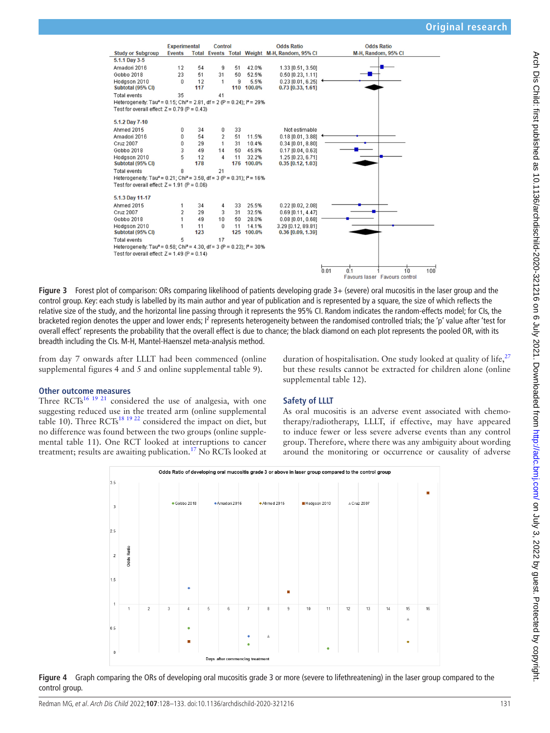

**Figure 3** Forest plot of comparison: ORs comparing likelihood of patients developing grade 3+ (severe) oral mucositis in the laser group and the control group. Key: each study is labelled by its main author and year of publication and is represented by a square, the size of which reflects the relative size of the study, and the horizontal line passing through it represents the 95% CI. Random indicates the random-effects model; for CIs, the bracketed region denotes the upper and lower ends; I<sup>2</sup> represents heterogeneity between the randomised controlled trials; the 'p' value after 'test for overall effect' represents the probability that the overall effect is due to chance; the black diamond on each plot represents the pooled OR, with its breadth including the CIs. M-H, Mantel-Haenszel meta-analysis method.

from day 7 onwards after LLLT had been commenced [\(online](https://dx.doi.org/10.1136/archdischild-2020-321216)  [supplemental figures 4 and 5](https://dx.doi.org/10.1136/archdischild-2020-321216) and [online supplemental table 9](https://dx.doi.org/10.1136/archdischild-2020-321216)).

### **Other outcome measures**

Three  $RCTs^{16}$ <sup>19</sup> <sup>21</sup> considered the use of analgesia, with one suggesting reduced use in the treated arm [\(online supplemental](https://dx.doi.org/10.1136/archdischild-2020-321216)  [table 10](https://dx.doi.org/10.1136/archdischild-2020-321216)). Three RCTs<sup>18 19 22</sup> considered the impact on diet, but no difference was found between the two groups [\(online supple](https://dx.doi.org/10.1136/archdischild-2020-321216)[mental table 11](https://dx.doi.org/10.1136/archdischild-2020-321216)). One RCT looked at interruptions to cancer treatment; results are awaiting publication.<sup>17</sup> No RCTs looked at

# **Safety of LLLT**

[supplemental table 12](https://dx.doi.org/10.1136/archdischild-2020-321216)).

As oral mucositis is an adverse event associated with chemotherapy/radiotherapy, LLLT, if effective, may have appeared to induce fewer or less severe adverse events than any control group. Therefore, where there was any ambiguity about wording around the monitoring or occurrence or causality of adverse

<span id="page-3-0"></span>duration of hospitalisation. One study looked at quality of life,  $27$ but these results cannot be extracted for children alone [\(online](https://dx.doi.org/10.1136/archdischild-2020-321216)



<span id="page-3-1"></span>**Figure 4** Graph comparing the ORs of developing oral mucositis grade 3 or more (severe to lifethreatening) in the laser group compared to the control group.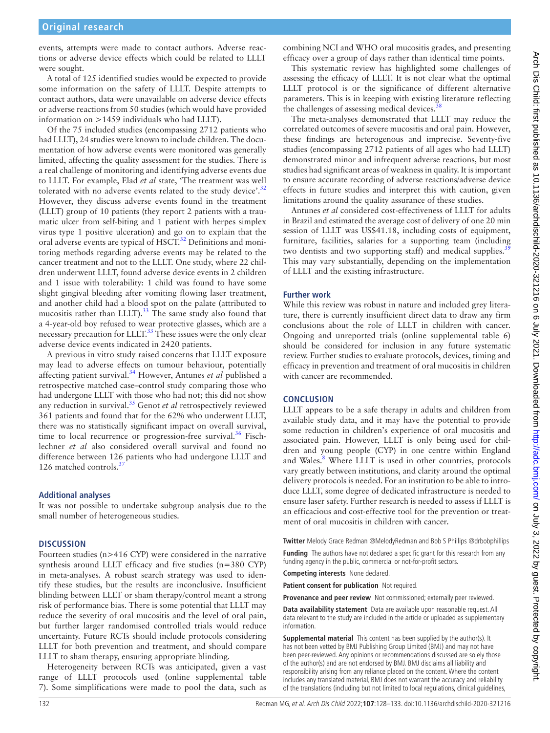events, attempts were made to contact authors. Adverse reactions or adverse device effects which could be related to LLLT were sought.

A total of 125 identified studies would be expected to provide some information on the safety of LLLT. Despite attempts to contact authors, data were unavailable on adverse device effects or adverse reactions from 50 studies (which would have provided information on >1459 individuals who had LLLT).

Of the 75 included studies (encompassing 2712 patients who had LLLT), 24 studies were known to include children. The documentation of how adverse events were monitored was generally limited, affecting the quality assessment for the studies. There is a real challenge of monitoring and identifying adverse events due to LLLT. For example, Elad *et al* state, 'The treatment was well tolerated with no adverse events related to the study device'.<sup>[32](#page-5-28)</sup> However, they discuss adverse events found in the treatment (LLLT) group of 10 patients (they report 2 patients with a traumatic ulcer from self-biting and 1 patient with herpes simplex virus type 1 positive ulceration) and go on to explain that the oral adverse events are typical of HSCT.<sup>32</sup> Definitions and monitoring methods regarding adverse events may be related to the cancer treatment and not to the LLLT. One study, where 22 children underwent LLLT, found adverse device events in 2 children and 1 issue with tolerability: 1 child was found to have some slight gingival bleeding after vomiting flowing laser treatment, and another child had a blood spot on the palate (attributed to mucositis rather than LLLT).<sup>[33](#page-5-29)</sup> The same study also found that a 4-year-old boy refused to wear protective glasses, which are a necessary precaution for LLLT.[33](#page-5-29) These issues were the only clear adverse device events indicated in 2420 patients.

A previous in vitro study raised concerns that LLLT exposure may lead to adverse effects on tumour behaviour, potentially affecting patient survival[.34](#page-5-30) However, Antunes *et al* published a retrospective matched case–control study comparing those who had undergone LLLT with those who had not; this did not show any reduction in survival.[35](#page-5-31) Genot *et al* retrospectively reviewed 361 patients and found that for the 62% who underwent LLLT, there was no statistically significant impact on overall survival, time to local recurrence or progression-free survival.<sup>36</sup> Fischlechner *et al* also considered overall survival and found no difference between 126 patients who had undergone LLLT and 126 matched controls.<sup>3</sup>

# **Additional analyses**

It was not possible to undertake subgroup analysis due to the small number of heterogeneous studies.

# **DISCUSSION**

Fourteen studies (n>416 CYP) were considered in the narrative synthesis around LLLT efficacy and five studies (n=380 CYP) in meta-analyses. A robust search strategy was used to identify these studies, but the results are inconclusive. Insufficient blinding between LLLT or sham therapy/control meant a strong risk of performance bias. There is some potential that LLLT may reduce the severity of oral mucositis and the level of oral pain, but further larger randomised controlled trials would reduce uncertainty. Future RCTs should include protocols considering LLLT for both prevention and treatment, and should compare LLLT to sham therapy, ensuring appropriate blinding.

Heterogeneity between RCTs was anticipated, given a vast range of LLLT protocols used ([online supplemental table](https://dx.doi.org/10.1136/archdischild-2020-321216)  [7](https://dx.doi.org/10.1136/archdischild-2020-321216)). Some simplifications were made to pool the data, such as

combining NCI and WHO oral mucositis grades, and presenting efficacy over a group of days rather than identical time points.

This systematic review has highlighted some challenges of assessing the efficacy of LLLT. It is not clear what the optimal LLLT protocol is or the significance of different alternative parameters. This is in keeping with existing literature reflecting the challenges of assessing medical devices.<sup>3</sup>

The meta-analyses demonstrated that LLLT may reduce the correlated outcomes of severe mucositis and oral pain. However, these findings are heterogenous and imprecise. Seventy-five studies (encompassing 2712 patients of all ages who had LLLT) demonstrated minor and infrequent adverse reactions, but most studies had significant areas of weakness in quality. It is important to ensure accurate recording of adverse reactions/adverse device effects in future studies and interpret this with caution, given limitations around the quality assurance of these studies.

Antunes *et al* considered cost-effectiveness of LLLT for adults in Brazil and estimated the average cost of delivery of one 20 min session of LLLT was US\$41.18, including costs of equipment, furniture, facilities, salaries for a supporting team (including two dentists and two supporting staff) and medical supplies.<sup>3</sup> This may vary substantially, depending on the implementation of LLLT and the existing infrastructure.

# **Further work**

While this review was robust in nature and included grey literature, there is currently insufficient direct data to draw any firm conclusions about the role of LLLT in children with cancer. Ongoing and unreported trials ([online supplemental table 6](https://dx.doi.org/10.1136/archdischild-2020-321216)) should be considered for inclusion in any future systematic review. Further studies to evaluate protocols, devices, timing and efficacy in prevention and treatment of oral mucositis in children with cancer are recommended.

# **CONCLUSION**

LLLT appears to be a safe therapy in adults and children from available study data, and it may have the potential to provide some reduction in children's experience of oral mucositis and associated pain. However, LLLT is only being used for children and young people (CYP) in one centre within England and Wales.<sup>8</sup> Where LLLT is used in other countries, protocols vary greatly between institutions, and clarity around the optimal delivery protocols is needed. For an institution to be able to introduce LLLT, some degree of dedicated infrastructure is needed to ensure laser safety. Further research is needed to assess if LLLT is an efficacious and cost-effective tool for the prevention or treatment of oral mucositis in children with cancer.

**Twitter** Melody Grace Redman [@MelodyRedman](https://twitter.com/MelodyRedman) and Bob S Phillips [@drbobphillips](https://twitter.com/drbobphillips)

**Funding** The authors have not declared a specific grant for this research from any funding agency in the public, commercial or not-for-profit sectors.

**Competing interests** None declared.

**Patient consent for publication** Not required.

**Provenance and peer review** Not commissioned; externally peer reviewed.

**Data availability statement** Data are available upon reasonable request. All data relevant to the study are included in the article or uploaded as supplementary information.

**Supplemental material** This content has been supplied by the author(s). It has not been vetted by BMJ Publishing Group Limited (BMJ) and may not have been peer-reviewed. Any opinions or recommendations discussed are solely those of the author(s) and are not endorsed by BMJ. BMJ disclaims all liability and responsibility arising from any reliance placed on the content. Where the content includes any translated material, BMJ does not warrant the accuracy and reliability of the translations (including but not limited to local regulations, clinical guidelines,